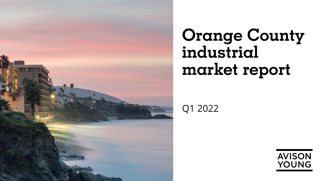

# **Orange County industrial market report**

Q1 2022

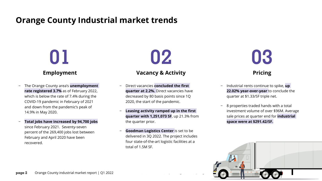## **Orange County Industrial market trends**

# **Employment**

- − The Orange County area's **unemployment rate registered 3.7%** as of February 2022, which is below the rate of 7.4% during the COVID-19 pandemic in February of 2021 and down from the pandemic's peak of 14.9% in May 2020.
- − **Total jobs have increased by 94,700 jobs** since February 2021. Seventy-seven percent of the 269,400 jobs lost between February and April 2020 have been recovered.

## **01 02 03 Vacancy & Activity <b>Pricing Pricing**

- − Direct vacancies **concluded the first quarter at 2.2%.** Direct vacancies have decreased by 80 basis points since 1Q 2020, the start of the pandemic.
- − **Leasing activity ramped up in the first quarter with 1,251,073 SF**, up 21.3% from the quarter prior.
- **Goodman Logistics Center** is set to be delivered in 3Q 2022. The project includes four state-of-the-art logistic facilities at a total of 1.5M SF.

- − Industrial rents continue to spike, **up 22.02% year-over-year** to conclude the quarter at \$1.33/SF triple net.
- − 8 properties traded hands with a total investment volume of over \$96M. Average sale prices at quarter end for **industrial space were at \$291.42/SF.**

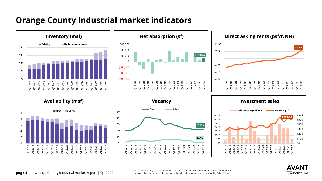## **Orange County Industrial market indicators**



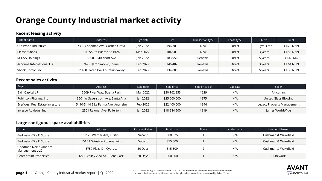## **Orange County Industrial market activity**

#### **Recent leasing activity**

| Tenant name               | Address                           | Sign date | <b>Size</b> | Transaction type | Lease type | Term                  | Rent       |
|---------------------------|-----------------------------------|-----------|-------------|------------------|------------|-----------------------|------------|
| Old World Industries      | 7300 Chapman Ave, Garden Grove    | lan 2022  | 196,309     | New              | Direct     | 10 yrs $3 \text{ mo}$ | \$1.25 NNN |
| Pleaser Shoes             | 105 South Puente St, Brea         | Mar 2022  | 184,000     | <b>New</b>       | Direct     | 3 years               | \$1.56 NNN |
| RCUSA Holdings            | 5600-5640 Knott Ave               | lan 2022  | 183,958     | Renewal          | Direct     | 5 years               | \$1.40 MG  |
| Arbonne International LLC | 9400 Jeronimo Rd, Irvine          | Feb 2022  | 146,482     | Renewal          | Direct     | 3 years               | \$1.64 NNN |
| Shock Doctor, Inc         | 11488 Slater Ave, Fountain Valley | Feb 2022  | 134,000     | Renewal          | Direct     | 5 years               | \$1.35 NNN |

#### **Recent sales activity**

| <b>Buyer</b>                   | Address                           | Sale date | Sale price   | Sale price psf | Cap rate | Seller                     |  |
|--------------------------------|-----------------------------------|-----------|--------------|----------------|----------|----------------------------|--|
| Bain Capital LP                | 5609 River Way, Buena Park        | Mar 2022  | \$30,162,353 | \$229          | N/A      | Alticor Inc                |  |
| Robinson Pharma, Inc           | 3501 W Segerstrom Ave, Santa Ana  | Jan 2022  | \$25,000,000 | \$375          | N/A      | United Glass Blowing       |  |
| EverWest Real Estate Investors | 5410-5414 E La Palma Ave, Anaheim | Feb 2022  | \$22,400,000 | \$344          | N/A      | Legacy Property Management |  |
| Invesco Advisors, Inc          | 2301 Raymer Ave, Fullerton        | Jan 2022  | \$18,284,500 | \$319          | N/A      | James WorldWide            |  |

#### **Large contiguous space availabilities**

| Owner                                   | Address                         | Date available | Block size | <b>Floors</b> | Asking rent | Landlord Broker     |  |
|-----------------------------------------|---------------------------------|----------------|------------|---------------|-------------|---------------------|--|
| Bedrosian Tile & Stone                  | 1123 Warner Ave, Tustin         | Vacant         | 500,625    |               | N/A         | Cushman & Wakefield |  |
| Bedrosian Tile & Stone                  | 1515 E Winston Rd, Anaheim      | Vacant         | 375,000    |               | N/A         | Cushman & Wakefield |  |
| Goodman North America<br>Management LLC | 5757 Plaza Dr, Cypress          | 30 Days        | 315,509    |               | N/A         | Cushman & Wakefield |  |
| CenterPoint Properties                  | 6800 Valley View St, Buena Park | 30 Days        | 300,000    |               | N/A         | Cubework            |  |

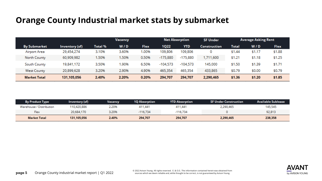## **Orange County Industrial market stats by submarket**

|                     |                | Vacancy |       | <b>Net Absorption</b> |             | <b>SF Under</b> |                     | <b>Average Asking Rent</b> |        |             |
|---------------------|----------------|---------|-------|-----------------------|-------------|-----------------|---------------------|----------------------------|--------|-------------|
| <b>By Submarket</b> | Inventory (sf) | Total % | W/D   | Flex                  | <b>1Q22</b> | <b>YTD</b>      | <b>Construction</b> | Total                      | W/D    | <b>Flex</b> |
| Airport Area        | 29,454,274     | 3.10%   | 3.60% | 1.00%                 | 109,806     | 109,806         | 0                   | \$1.44                     | \$1.17 | \$1.88      |
| North County        | 60,909,982     | 1.50%   | 1.50% | 0.50%                 | $-175,880$  | $-175,880$      | 1,711,600           | \$1.21                     | \$1.18 | \$1.25      |
| South County        | 19,841,172     | 3.50%   | 1.90% | 6.50%                 | $-104.573$  | $-104.573$      | 145,000             | \$1.50                     | \$1.39 | \$1.71      |
| <b>West County</b>  | 20,899,628     | 3.20%   | 2.90% | 4.90%                 | 465,354     | 465,354         | 433,865             | \$0.79                     | \$0.00 | \$0.79      |
| <b>Market Total</b> | 131,105,056    | 2.40%   | 2.20% | 0.20%                 | 294,707     | 294,707         | 2,290,465           | \$1.36                     | \$1.20 | \$1.85      |

| <b>By Product Type</b>   | Inventory (sf) | <b>Vacancy</b> | <b>1Q Absorption</b> | <b>YTD Absorption</b> | SF Under Construction | Available Sublease |
|--------------------------|----------------|----------------|----------------------|-----------------------|-----------------------|--------------------|
| Warehouse / Distribution | 110,420,886    | 2.20%          | 411,441              | 411,441               | 2,290,465             | 145,545            |
| Flex                     | 20,684,170     | 3.20%          | $-116.734$           | $-116.734$            |                       | 92,813             |
| <b>Market Total</b>      | 131,105,056    | 2.40%          | 294,707              | 294,707               | 2,290,465             | 238,358            |